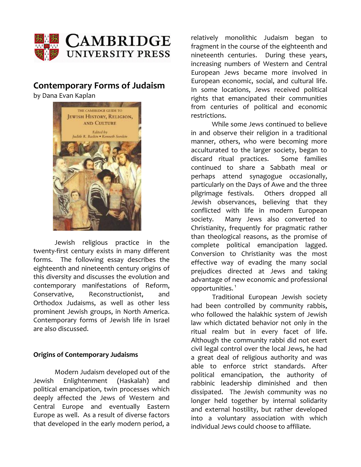

# **Contemporary Forms of Judaism**

by Dana Evan Kaplan



Jewish religious practice in the twenty-first century exists in many different forms. The following essay describes the eighteenth and nineteenth century origins of this diversity and discusses the evolution and contemporary manifestations of Reform, Conservative, Reconstructionist, and Orthodox Judaisms, as well as other less prominent Jewish groups, in North America. Contemporary forms of Jewish life in Israel are also discussed.

## **Origins of Contemporary Judaisms**

Modern Judaism developed out of the Jewish Enlightenment (Haskalah) and political emancipation, twin processes which deeply affected the Jews of Western and Central Europe and eventually Eastern Europe as well. As a result of diverse factors that developed in the early modern period, a

relatively monolithic Judaism began to fragment in the course of the eighteenth and nineteenth centuries. During these years, increasing numbers of Western and Central European Jews became more involved in European economic, social, and cultural life. In some locations, Jews received political rights that emancipated their communities from centuries of political and economic restrictions.

While some Jews continued to believe in and observe their religion in a traditional manner, others, who were becoming more acculturated to the larger society, began to discard ritual practices. Some families continued to share a Sabbath meal or perhaps attend synagogue occasionally, particularly on the Days of Awe and the three pilgrimage festivals. Others dropped all Jewish observances, believing that they conflicted with life in modern European society. Many Jews also converted to Christianity, frequently for pragmatic rather than theological reasons, as the promise of complete political emancipation lagged. Conversion to Christianity was the most effective way of evading the many social prejudices directed at Jews and taking advantage of new economic and professional opportunities.<sup>1</sup>

Traditional European Jewish society had been controlled by community rabbis, who followed the halakhic system of Jewish law which dictated behavior not only in the ritual realm but in every facet of life. Although the community rabbi did not exert civil legal control over the local Jews, he had a great deal of religious authority and was able to enforce strict standards. After political emancipation, the authority of rabbinic leadership diminished and then dissipated. The Jewish community was no longer held together by internal solidarity and external hostility, but rather developed into a voluntary association with which individual Jews could choose to affiliate.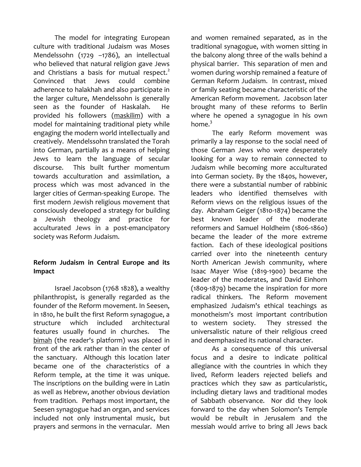The model for integrating European culture with traditional Judaism was Moses Mendelssohn (1729 –1786), an intellectual who believed that natural religion gave Jews and Christians a basis for mutual respect.<sup>2</sup> Convinced that Jews could combine adherence to halakhah and also participate in the larger culture, Mendelssohn is generally seen as the founder of Haskalah. He provided his followers (maskilim) with a model for maintaining traditional piety while engaging the modern world intellectually and creatively. Mendelssohn translated the Torah into German, partially as a means of helping Jews to learn the language of secular discourse. This built further momentum towards acculturation and assimilation, a process which was most advanced in the larger cities of German-speaking Europe. The first modern Jewish religious movement that consciously developed a strategy for building a Jewish theology and practice for acculturated Jews in a post-emancipatory society was Reform Judaism.

## **Reform Judaism in Central Europe and its Impact**

Israel Jacobson (1768 1828), a wealthy philanthropist, is generally regarded as the founder of the Reform movement. In Seesen, in 1810, he built the first Reform synagogue, a structure which included architectural features usually found in churches. The bimah (the reader's platform) was placed in front of the ark rather than in the center of the sanctuary. Although this location later became one of the characteristics of a Reform temple, at the time it was unique. The inscriptions on the building were in Latin as well as Hebrew, another obvious deviation from tradition. Perhaps most important, the Seesen synagogue had an organ, and services included not only instrumental music, but prayers and sermons in the vernacular. Men

and women remained separated, as in the traditional synagogue, with women sitting in the balcony along three of the walls behind a physical barrier. This separation of men and women during worship remained a feature of German Reform Judaism. In contrast, mixed or family seating became characteristic of the American Reform movement. Jacobson later brought many of these reforms to Berlin where he opened a synagogue in his own home. $3$ 

The early Reform movement was primarily a lay response to the social need of those German Jews who were desperately looking for a way to remain connected to Judaism while becoming more acculturated into German society. By the 1840s, however, there were a substantial number of rabbinic leaders who identified themselves with Reform views on the religious issues of the day. Abraham Geiger (1810-1874) became the best known leader of the moderate reformers and Samuel Holdheim (1806-1860) became the leader of the more extreme faction. Each of these ideological positions carried over into the nineteenth century North American Jewish community, where Isaac Mayer Wise (1819-1900) became the leader of the moderates, and David Einhorn (1809-1879) became the inspiration for more radical thinkers. The Reform movement emphasized Judaism's ethical teachings as monotheism's most important contribution to western society. They stressed the universalistic nature of their religious creed and deemphasized its national character.

As a consequence of this universal focus and a desire to indicate political allegiance with the countries in which they lived, Reform leaders rejected beliefs and practices which they saw as particularistic, including dietary laws and traditional modes of Sabbath observance. Nor did they look forward to the day when Solomon's Temple would be rebuilt in Jerusalem and the messiah would arrive to bring all Jews back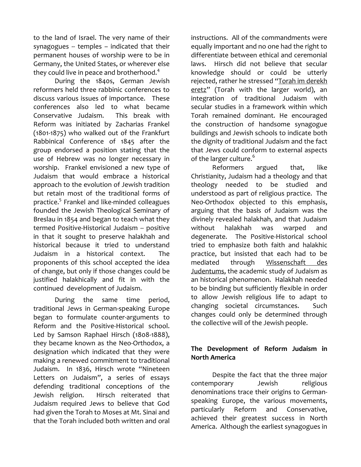to the land of Israel. The very name of their synagogues -- temples - indicated that their permanent houses of worship were to be in Germany, the United States, or wherever else they could live in peace and brotherhood. $4$ 

During the 1840s, German Jewish reformers held three rabbinic conferences to discuss various issues of importance. These conferences also led to what became Conservative Judaism. This break with Reform was initiated by Zacharias Frankel (1801-1875) who walked out of the Frankfurt Rabbinical Conference of 1845 after the group endorsed a position stating that the use of Hebrew was no longer necessary in worship. Frankel envisioned a new type of Judaism that would embrace a historical approach to the evolution of Jewish tradition but retain most of the traditional forms of practice.<sup>5</sup> Frankel and like-minded colleagues founded the Jewish Theological Seminary of Breslau in 1854 and began to teach what they termed Positive-Historical Judaism -- positive in that it sought to preserve halakhah and historical because it tried to understand Judaism in a historical context. The proponents of this school accepted the idea of change, but only if those changes could be justified halakhically and fit in with the continued development of Judaism.

During the same time period, traditional Jews in German-speaking Europe began to formulate counter-arguments to Reform and the Positive-Historical school. Led by Samson Raphael Hirsch (1808-1888), they became known as the Neo-Orthodox, a designation which indicated that they were making a renewed commitment to traditional Judaism. In 1836, Hirsch wrote "Nineteen Letters on Judaism", a series of essays defending traditional conceptions of the Jewish religion. Hirsch reiterated that Judaism required Jews to believe that God had given the Torah to Moses at Mt. Sinai and that the Torah included both written and oral instructions. All of the commandments were equally important and no one had the right to differentiate between ethical and ceremonial laws. Hirsch did not believe that secular knowledge should or could be utterly rejected, rather he stressed "Torah im derekh eretz" (Torah with the larger world), an integration of traditional Judaism with secular studies in a framework within which Torah remained dominant. He encouraged the construction of handsome synagogue buildings and Jewish schools to indicate both the dignity of traditional Judaism and the fact that Jews could conform to external aspects of the larger culture.<sup>6</sup>

Reformers argued that, like Christianity, Judaism had a theology and that theology needed to be studied and understood as part of religious practice. The Neo-Orthodox objected to this emphasis, arguing that the basis of Judaism was the divinely revealed halakhah, and that Judaism without halakhah was warped and degenerate. The Positive-Historical school tried to emphasize both faith and halakhic practice, but insisted that each had to be mediated through Wissenschaft des Judentums, the academic study of Judaism as an historical phenomenon. Halakhah needed to be binding but sufficiently flexible in order to allow Jewish religious life to adapt to changing societal circumstances. Such changes could only be determined through the collective will of the Jewish people.

# **The Development of Reform Judaism in North America**

Despite the fact that the three major contemporary Jewish religious denominations trace their origins to Germanspeaking Europe, the various movements, particularly Reform and Conservative, achieved their greatest success in North America. Although the earliest synagogues in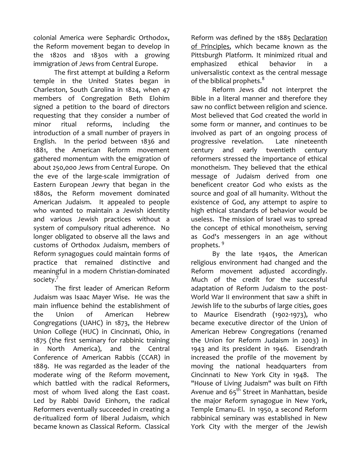colonial America were Sephardic Orthodox, the Reform movement began to develop in the 1820s and 1830s with a growing immigration of Jews from Central Europe.

The first attempt at building a Reform temple in the United States began in Charleston, South Carolina in 1824, when 47 members of Congregation Beth Elohim signed a petition to the board of directors requesting that they consider a number of minor ritual reforms, including the introduction of a small number of prayers in English. In the period between 1836 and 1881, the American Reform movement gathered momentum with the emigration of about 250,000 Jews from Central Europe. On the eve of the large-scale immigration of Eastern European Jewry that began in the 1880s, the Reform movement dominated American Judaism. It appealed to people who wanted to maintain a Jewish identity and various Jewish practices without a system of compulsory ritual adherence. No longer obligated to observe all the laws and customs of Orthodox Judaism, members of Reform synagogues could maintain forms of practice that remained distinctive and meaningful in a modern Christian-dominated society.<sup>7</sup>

The first leader of American Reform Judaism was Isaac Mayer Wise. He was the main influence behind the establishment of the Union of American Hebrew Congregations (UAHC) in 1873, the Hebrew Union College (HUC) in Cincinnati, Ohio, in 1875 (the first seminary for rabbinic training in North America), and the Central Conference of American Rabbis (CCAR) in 1889. He was regarded as the leader of the moderate wing of the Reform movement, which battled with the radical Reformers, most of whom lived along the East coast. Led by Rabbi David Einhorn, the radical Reformers eventually succeeded in creating a de-ritualized form of liberal Judaism, which became known as Classical Reform. Classical

Reform was defined by the 1885 Declaration of Principles, which became known as the Pittsburgh Platform. It minimized ritual and emphasized ethical behavior in a universalistic context as the central message of the biblical prophets.<sup>8</sup>

Reform Jews did not interpret the Bible in a literal manner and therefore they saw no conflict between religion and science. Most believed that God created the world in some form or manner, and continues to be involved as part of an ongoing process of progressive revelation. Late nineteenth century and early twentieth century reformers stressed the importance of ethical monotheism. They believed that the ethical message of Judaism derived from one beneficent creator God who exists as the source and goal of all humanity. Without the existence of God, any attempt to aspire to high ethical standards of behavior would be useless. The mission of Israel was to spread the concept of ethical monotheism, serving as God's messengers in an age without prophets.<sup>9</sup>

By the late 1940s, the American religious environment had changed and the Reform movement adjusted accordingly. Much of the credit for the successful adaptation of Reform Judaism to the post-World War II environment that saw a shift in Jewish life to the suburbs of large cities, goes to Maurice Eisendrath (1902-1973), who became executive director of the Union of American Hebrew Congregations (renamed the Union for Reform Judaism in 2003) in 1943 and its president in 1946. Eisendrath increased the profile of the movement by moving the national headquarters from Cincinnati to New York City in 1948. The "House of Living Judaism" was built on Fifth Avenue and 65<sup>th</sup> Street in Manhattan, beside the major Reform synagogue in New York, Temple Emanu-El. In 1950, a second Reform rabbinical seminary was established in New York City with the merger of the Jewish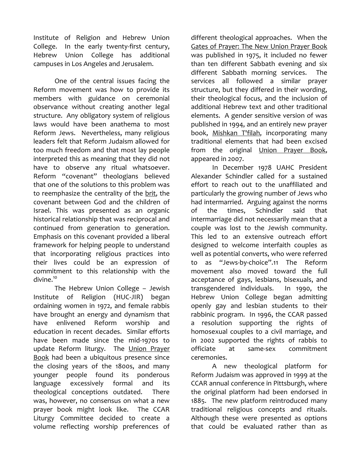Institute of Religion and Hebrew Union College. In the early twenty-first century, Hebrew Union College has additional campuses in Los Angeles and Jerusalem.

One of the central issues facing the Reform movement was how to provide its members with guidance on ceremonial observance without creating another legal structure. Any obligatory system of religious laws would have been anathema to most Reform Jews. Nevertheless, many religious leaders felt that Reform Judaism allowed for too much freedom and that most lay people interpreted this as meaning that they did not have to observe any ritual whatsoever. Reform "covenant" theologians believed that one of the solutions to this problem was to reemphasize the centrality of the brit, the covenant between God and the children of Israel. This was presented as an organic historical relationship that was reciprocal and continued from generation to generation. Emphasis on this covenant provided a liberal framework for helping people to understand that incorporating religious practices into their lives could be an expression of commitment to this relationship with the divine.<sup>10</sup>

The Hebrew Union College – Jewish Institute of Religion (HUC-JIR) began ordaining women in 1972, and female rabbis have brought an energy and dynamism that have enlivened Reform worship and education in recent decades. Similar efforts have been made since the mid-1970s to update Reform liturgy. The Union Prayer Book had been a ubiquitous presence since the closing years of the 1800s, and many younger people found its ponderous language excessively formal and its theological conceptions outdated. There was, however, no consensus on what a new prayer book might look like. The CCAR Liturgy Committee decided to create a volume reflecting worship preferences of different theological approaches. When the Gates of Prayer: The New Union Prayer Book was published in 1975, it included no fewer than ten different Sabbath evening and six different Sabbath morning services. The services all followed a similar prayer structure, but they differed in their wording, their theological focus, and the inclusion of additional Hebrew text and other traditional elements. A gender sensitive version of was published in 1994, and an entirely new prayer book, Mishkan T'filah, incorporating many traditional elements that had been excised from the original Union Prayer Book, appeared in 2007.

In December 1978 UAHC President Alexander Schindler called for a sustained effort to reach out to the unaffiliated and particularly the growing number of Jews who had intermarried. Arguing against the norms of the times, Schindler said that intermarriage did not necessarily mean that a couple was lost to the Jewish community. This led to an extensive outreach effort designed to welcome interfaith couples as well as potential converts, who were referred to as "Jews-by-choice".11 The Reform movement also moved toward the full acceptance of gays, lesbians, bisexuals, and transgendered individuals. In 1990, the Hebrew Union College began admitting openly gay and lesbian students to their rabbinic program. In 1996, the CCAR passed a resolution supporting the rights of homosexual couples to a civil marriage, and in 2002 supported the rights of rabbis to officiate at same-sex commitment ceremonies.

A new theological platform for Reform Judaism was approved in 1999 at the CCAR annual conference in Pittsburgh, where the original platform had been endorsed in 1885. The new platform reintroduced many traditional religious concepts and rituals. Although these were presented as options that could be evaluated rather than as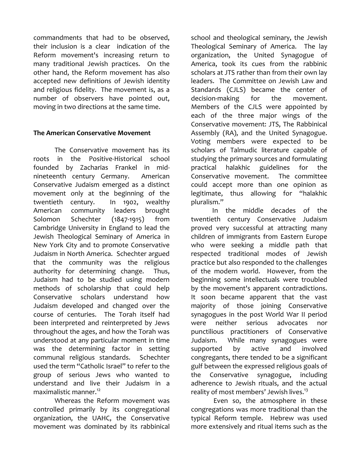commandments that had to be observed, their inclusion is a clear indication of the Reform movement's increasing return to many traditional Jewish practices. On the other hand, the Reform movement has also accepted new definitions of Jewish identity and religious fidelity. The movement is, as a number of observers have pointed out, moving in two directions at the same time.

## **The American Conservative Movement**

The Conservative movement has its roots in the Positive-Historical school founded by Zacharias Frankel in midnineteenth century Germany. American Conservative Judaism emerged as a distinct movement only at the beginning of the twentieth century. In 1902, wealthy American community leaders brought Solomon Schechter (1847-1915) from Cambridge University in England to lead the Jewish Theological Seminary of America in New York City and to promote Conservative Judaism in North America. Schechter argued that the community was the religious authority for determining change. Thus, Judaism had to be studied using modern methods of scholarship that could help Conservative scholars understand how Judaism developed and changed over the course of centuries. The Torah itself had been interpreted and reinterpreted by Jews throughout the ages, and how the Torah was understood at any particular moment in time was the determining factor in setting communal religious standards. Schechter used the term "Catholic Israel" to refer to the group of serious Jews who wanted to understand and live their Judaism in a maximalistic manner.<sup>12</sup>

Whereas the Reform movement was controlled primarily by its congregational organization, the UAHC, the Conservative movement was dominated by its rabbinical school and theological seminary, the Jewish Theological Seminary of America. The lay organization, the United Synagogue of America, took its cues from the rabbinic scholars at JTS rather than from their own lay leaders. The Committee on Jewish Law and Standards (CJLS) became the center of decision-making for the movement. Members of the CJLS were appointed by each of the three major wings of the Conservative movement: JTS, The Rabbinical Assembly (RA), and the United Synagogue. Voting members were expected to be scholars of Talmudic literature capable of studying the primary sources and formulating practical halakhic guidelines for the Conservative movement. The committee could accept more than one opinion as legitimate, thus allowing for "halakhic pluralism."

In the middle decades of the twentieth century Conservative Judaism proved very successful at attracting many children of immigrants from Eastern Europe who were seeking a middle path that respected traditional modes of Jewish practice but also responded to the challenges of the modern world. However, from the beginning some intellectuals were troubled by the movement's apparent contradictions. It soon became apparent that the vast majority of those joining Conservative synagogues in the post World War II period were neither serious advocates nor punctilious practitioners of Conservative Judaism. While many synagogues were supported by active and involved congregants, there tended to be a significant gulf between the expressed religious goals of the Conservative synagogue, including adherence to Jewish rituals, and the actual reality of most members' Jewish lives.<sup>13</sup>

Even so, the atmosphere in these congregations was more traditional than the typical Reform temple. Hebrew was used more extensively and ritual items such as the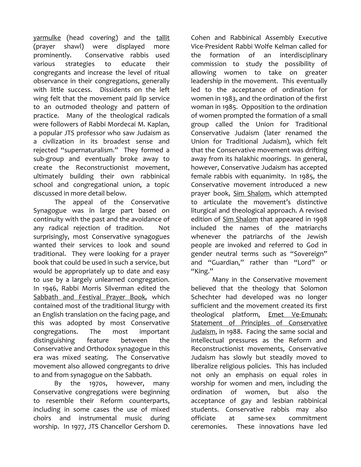yarmulke (head covering) and the tallit (prayer shawl) were displayed more prominently. Conservative rabbis used various strategies to educate their congregants and increase the level of ritual observance in their congregations, generally with little success. Dissidents on the left wing felt that the movement paid lip service to an outmoded theology and pattern of practice. Many of the theological radicals were followers of Rabbi Mordecai M. Kaplan, a popular JTS professor who saw Judaism as a civilization in its broadest sense and rejected "supernaturalism." They formed a sub-group and eventually broke away to create the Reconstructionist movement, ultimately building their own rabbinical school and congregational union, a topic discussed in more detail below.

The appeal of the Conservative Synagogue was in large part based on continuity with the past and the avoidance of any radical rejection of tradition. Not surprisingly, most Conservative synagogues wanted their services to look and sound traditional. They were looking for a prayer book that could be used in such a service, but would be appropriately up to date and easy to use by a largely unlearned congregation. In 1946, Rabbi Morris Silverman edited the Sabbath and Festival Prayer Book*,* which contained most of the traditional liturgy with an English translation on the facing page, and this was adopted by most Conservative congregations. The most important distinguishing feature between the Conservative and Orthodox synagogue in this era was mixed seating. The Conservative movement also allowed congregants to drive to and from synagogue on the Sabbath.

By the 1970s, however, many Conservative congregations were beginning to resemble their Reform counterparts, including in some cases the use of mixed choirs and instrumental music during worship. In 1977, JTS Chancellor Gershom D.

Cohen and Rabbinical Assembly Executive Vice-President Rabbi Wolfe Kelman called for the formation of an interdisciplinary commission to study the possibility of allowing women to take on greater leadership in the movement. This eventually led to the acceptance of ordination for women in 1983, and the ordination of the first woman in 1985. Opposition to the ordination of women prompted the formation of a small group called the Union for Traditional Conservative Judaism (later renamed the Union for Traditional Judaism), which felt that the Conservative movement was drifting away from its halakhic moorings. In general, however, Conservative Judaism has accepted female rabbis with equanimity. In 1985, the Conservative movement introduced a new prayer book, Sim Shalom, which attempted to articulate the movement's distinctive liturgical and theological approach. A revised edition of Sim Shalom that appeared in 1998 included the names of the matriarchs whenever the patriarchs of the Jewish people are invoked and referred to God in gender neutral terms such as "Sovereign" and "Guardian," rather than "Lord" or "King."

Many in the Conservative movement believed that the theology that Solomon Schechter had developed was no longer sufficient and the movement created its first theological platform, Emet Ve-Emunah: Statement of Principles of Conservative Judaism, in 1988. Facing the same social and intellectual pressures as the Reform and Reconstructionist movements, Conservative Judaism has slowly but steadily moved to liberalize religious policies. This has included not only an emphasis on equal roles in worship for women and men, including the ordination of women, but also the acceptance of gay and lesbian rabbinical students. Conservative rabbis may also officiate at same-sex commitment ceremonies. These innovations have led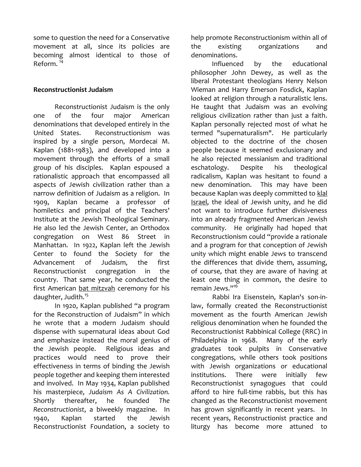some to question the need for a Conservative movement at all, since its policies are becoming almost identical to those of Reform. <sup>14</sup>

#### **Reconstructionist Judaism**

Reconstructionist Judaism is the only one of the four major American denominations that developed entirely in the United States. Reconstructionism was inspired by a single person, Mordecai M. Kaplan (1881-1983), and developed into a movement through the efforts of a small group of his disciples. Kaplan espoused a rationalistic approach that encompassed all aspects of Jewish civilization rather than a narrow definition of Judaism as a religion. In 1909, Kaplan became a professor of homiletics and principal of the Teachers' Institute at the Jewish Theological Seminary. He also led the Jewish Center, an Orthodox congregation on West 86 Street in Manhattan. In 1922, Kaplan left the Jewish Center to found the Society for the Advancement of Judaism, the first Reconstructionist congregation in the country. That same year, he conducted the first American bat mitzvah ceremony for his daughter, Judith.<sup>15</sup>

In 1920, Kaplan published "a program for the Reconstruction of Judaism" in which he wrote that a modern Judaism should dispense with supernatural ideas about God and emphasize instead the moral genius of the Jewish people. Religious ideas and practices would need to prove their effectiveness in terms of binding the Jewish people together and keeping them interested and involved. In May 1934, Kaplan published his masterpiece, *Judaism As A Civilization.*  Shortly thereafter, he founded *The Reconstructionist*, a biweekly magazine. In 1940, Kaplan started the Jewish Reconstructionist Foundation, a society to

help promote Reconstructionism within all of the existing organizations and denominations.

Influenced by the educational philosopher John Dewey, as well as the liberal Protestant theologians Henry Nelson Wieman and Harry Emerson Fosdick, Kaplan looked at religion through a naturalistic lens. He taught that Judaism was an evolving religious civilization rather than just a faith. Kaplan personally rejected most of what he termed "supernaturalism". He particularly objected to the doctrine of the chosen people because it seemed exclusionary and he also rejected messianism and traditional eschatology. Despite his theological radicalism, Kaplan was hesitant to found a new denomination. This may have been because Kaplan was deeply committed to klal Israel, the ideal of Jewish unity, and he did not want to introduce further divisiveness into an already fragmented American Jewish community. He originally had hoped that Reconstructionism could "provide a rationale and a program for that conception of Jewish unity which might enable Jews to transcend the differences that divide them, assuming, of course, that they are aware of having at least one thing in common, the desire to remain Jews."<sup>16</sup>

Rabbi Ira Eisenstein, Kaplan's son-inlaw, formally created the Reconstructionist movement as the fourth American Jewish religious denomination when he founded the Reconstructionist Rabbinical College (RRC) in Philadelphia in 1968. Many of the early graduates took pulpits in Conservative congregations, while others took positions with Jewish organizations or educational institutions. There were initially few Reconstructionist synagogues that could afford to hire full-time rabbis, but this has changed as the Reconstructionist movement has grown significantly in recent years. In recent years, Reconstructionist practice and liturgy has become more attuned to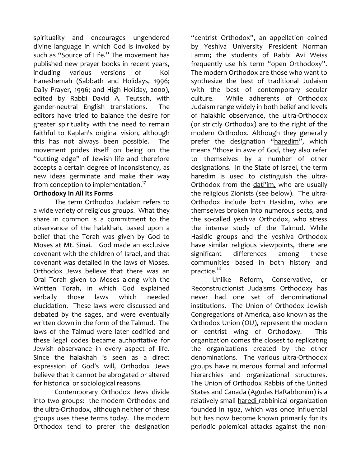spirituality and encourages ungendered divine language in which God is invoked by such as "Source of Life." The movement has published new prayer books in recent years, including various versions of Kol Haneshemah (Sabbath and Holidays, 1996; Daily Prayer, 1996; and High Holiday, 2000), edited by Rabbi David A. Teutsch, with gender-neutral English translations. The editors have tried to balance the desire for greater spirituality with the need to remain faithful to Kaplan's original vision, although this has not always been possible. The movement prides itself on being on the "cutting edge" of Jewish life and therefore accepts a certain degree of inconsistency, as new ideas germinate and make their way from conception to implementation.<sup>17</sup>

## **Orthodoxy In All Its Forms**

The term Orthodox Judaism refers to a wide variety of religious groups. What they share in common is a commitment to the observance of the halakhah, based upon a belief that the Torah was given by God to Moses at Mt. Sinai. God made an exclusive covenant with the children of Israel, and that covenant was detailed in the laws of Moses. Orthodox Jews believe that there was an Oral Torah given to Moses along with the Written Torah, in which God explained verbally those laws which needed elucidation. These laws were discussed and debated by the sages, and were eventually written down in the form of the Talmud. The laws of the Talmud were later codified and these legal codes became authoritative for Jewish observance in every aspect of life. Since the halakhah is seen as a direct expression of God's will, Orthodox Jews believe that it cannot be abrogated or altered for historical or sociological reasons.

Contemporary Orthodox Jews divide into two groups: the modern Orthodox and the ultra-Orthodox, although neither of these groups uses these terms today. The modern Orthodox tend to prefer the designation "centrist Orthodox", an appellation coined by Yeshiva University President Norman Lamm; the students of Rabbi Avi Weiss frequently use his term "open Orthodoxy". The modern Orthodox are those who want to synthesize the best of traditional Judaism with the best of contemporary secular culture. While adherents of Orthodox Judaism range widely in both belief and levels of halakhic observance, the ultra-Orthodox (or strictly Orthodox) are to the right of the modern Orthodox. Although they generally prefer the designation "haredim", which means "those in awe of God, they also refer to themselves by a number of other designations. In the State of Israel, the term haredim is used to distinguish the ultra-Orthodox from the dati'im, who are usually the religious Zionists (see below). The ultra-Orthodox include both Hasidim, who are themselves broken into numerous sects, and the so-called yeshiva Orthodox, who stress the intense study of the Talmud. While Hasidic groups and the yeshiva Orthodox have similar religious viewpoints, there are significant differences among these communities based in both history and practice.<sup>18</sup>

Unlike Reform, Conservative, or Reconstructionist Judaisms Orthodoxy has never had one set of denominational institutions. The Union of Orthodox Jewish Congregations of America, also known as the Orthodox Union (OU), represent the modern or centrist wing of Orthodoxy. This organization comes the closest to replicating the organizations created by the other denominations. The various ultra-Orthodox groups have numerous formal and informal hierarchies and organizational structures. The Union of Orthodox Rabbis of the United States and Canada (Agudas HaRabbonim) is a relatively small haredi rabbinical organization founded in 1902, which was once influential but has now become known primarily for its periodic polemical attacks against the non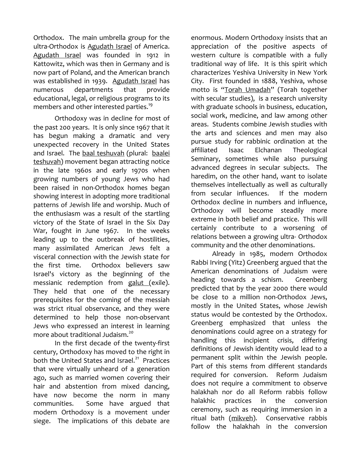Orthodox. The main umbrella group for the ultra-Orthodox is Agudath Israel of America. Agudath Israel was founded in 1912 in Kattowitz, which was then in Germany and is now part of Poland, and the American branch was established in 1939. Agudath Israel has numerous departments that provide educational, legal, or religious programs to its members and other interested parties.<sup>19</sup>

Orthodoxy was in decline for most of the past 200 years. It is only since 1967 that it has begun making a dramatic and very unexpected recovery in the United States and Israel. The baal teshuvah (plural: baalei teshuvah) movement began attracting notice in the late 1960s and early 1970s when growing numbers of young Jews who had been raised in non-Orthodox homes began showing interest in adopting more traditional patterns of Jewish life and worship. Much of the enthusiasm was a result of the startling victory of the State of Israel in the Six Day War, fought in June 1967. In the weeks leading up to the outbreak of hostilities, many assimilated American Jews felt a visceral connection with the Jewish state for the first time. Orthodox believers saw Israel's victory as the beginning of the messianic redemption from galut (exile). They held that one of the necessary prerequisites for the coming of the messiah was strict ritual observance, and they were determined to help those non-observant Jews who expressed an interest in learning more about traditional Judaism.<sup>20</sup>

In the first decade of the twenty-first century, Orthodoxy has moved to the right in both the United States and Israel.<sup>21</sup> Practices that were virtually unheard of a generation ago, such as married women covering their hair and abstention from mixed dancing, have now become the norm in many communities. Some have argued that modern Orthodoxy is a movement under siege. The implications of this debate are

enormous. Modern Orthodoxy insists that an appreciation of the positive aspects of western culture is compatible with a fully traditional way of life. It is this spirit which characterizes Yeshiva University in New York City. First founded in 1888, Yeshiva, whose motto is "Torah Umadah" (Torah together with secular studies), is a research university with graduate schools in business, education, social work, medicine, and law among other areas. Students combine Jewish studies with the arts and sciences and men may also pursue study for rabbinic ordination at the affiliated Isaac Elchanan Theological Seminary, sometimes while also pursuing advanced degrees in secular subjects. The haredim, on the other hand, want to isolate themselves intellectually as well as culturally from secular influences. If the modern Orthodox decline in numbers and influence, Orthodoxy will become steadily more extreme in both belief and practice. This will certainly contribute to a worsening of relations between a growing ultra- Orthodox community and the other denominations.

Already in 1985, modern Orthodox Rabbi Irving (Yitz) Greenberg argued that the American denominations of Judaism were heading towards a schism. Greenberg predicted that by the year 2000 there would be close to a million non-Orthodox Jews, mostly in the United States, whose Jewish status would be contested by the Orthodox. Greenberg emphasized that unless the denominations could agree on a strategy for handling this incipient crisis, differing definitions of Jewish identity would lead to a permanent split within the Jewish people. Part of this stems from different standards required for conversion. Reform Judaism does not require a commitment to observe halakhah nor do all Reform rabbis follow halakhic practices in the conversion ceremony, such as requiring immersion in a ritual bath (mikveh). Conservative rabbis follow the halakhah in the conversion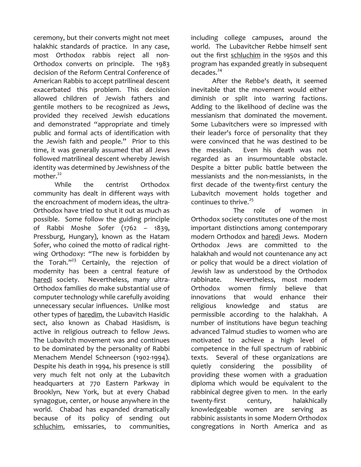ceremony, but their converts might not meet halakhic standards of practice. In any case, most Orthodox rabbis reject all non-Orthodox converts on principle. The 1983 decision of the Reform Central Conference of American Rabbis to accept patrilineal descent exacerbated this problem. This decision allowed children of Jewish fathers and gentile mothers to be recognized as Jews, provided they received Jewish educations and demonstrated "appropriate and timely public and formal acts of identification with the Jewish faith and people." Prior to this time, it was generally assumed that all Jews followed matrilineal descent whereby Jewish identity was determined by Jewishness of the  $mother.<sup>22</sup>$ 

While the centrist Orthodox community has dealt in different ways with the encroachment of modern ideas, the ultra-Orthodox have tried to shut it out as much as possible. Some follow the guiding principle of Rabbi Moshe Sofer (1762 – 1839, Pressburg, Hungary), known as the Hatam Sofer, who coined the motto of radical rightwing Orthodoxy: "The new is forbidden by the Torah. $123}$  Certainly, the rejection of modernity has been a central feature of haredi society. Nevertheless, many ultra-Orthodox families do make substantial use of computer technology while carefully avoiding unnecessary secular influences. Unlike most other types of haredim, the Lubavitch Hasidic sect, also known as Chabad Hasidism, is active in religious outreach to fellow Jews. The Lubavitch movement was and continues to be dominated by the personality of Rabbi Menachem Mendel Schneerson (1902-1994). Despite his death in 1994, his presence is still very much felt not only at the Lubavitch headquarters at 770 Eastern Parkway in Brooklyn, New York, but at every Chabad synagogue, center, or house anywhere in the world. Chabad has expanded dramatically because of its policy of sending out schluchim, emissaries, to communities,

including college campuses, around the world. The Lubavitcher Rebbe himself sent out the first schluchim in the 1950s and this program has expanded greatly in subsequent  $decades.<sup>24</sup>$ 

After the Rebbe's death, it seemed inevitable that the movement would either diminish or split into warring factions. Adding to the likelihood of decline was the messianism that dominated the movement. Some Lubavitchers were so impressed with their leader's force of personality that they were convinced that he was destined to be the messiah. Even his death was not regarded as an insurmountable obstacle. Despite a bitter public battle between the messianists and the non-messianists, in the first decade of the twenty-first century the Lubavitch movement holds together and continues to thrive. $25$ 

The role of women in Orthodox society constitutes one of the most important distinctions among contemporary modern Orthodox and haredi Jews. Modern Orthodox Jews are committed to the halakhah and would not countenance any act or policy that would be a direct violation of Jewish law as understood by the Orthodox rabbinate. Nevertheless, most modern Orthodox women firmly believe that innovations that would enhance their religious knowledge and status are permissible according to the halakhah. A number of institutions have begun teaching advanced Talmud studies to women who are motivated to achieve a high level of competence in the full spectrum of rabbinic texts. Several of these organizations are quietly considering the possibility of providing these women with a graduation diploma which would be equivalent to the rabbinical degree given to men. In the early twenty-first century, halakhically knowledgeable women are serving as rabbinic assistants in some Modern Orthodox congregations in North America and as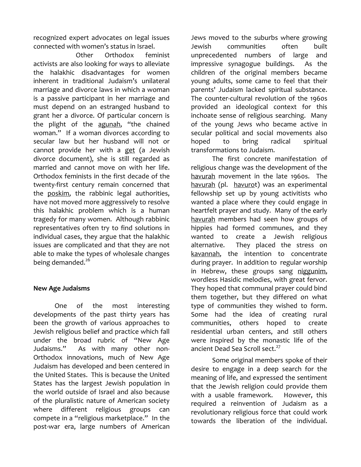recognized expert advocates on legal issues connected with women's status in Israel.

Other Orthodox feminist activists are also looking for ways to alleviate the halakhic disadvantages for women inherent in traditional Judaism's unilateral marriage and divorce laws in which a woman is a passive participant in her marriage and must depend on an estranged husband to grant her a divorce. Of particular concern is the plight of the agunah, "the chained woman." If a woman divorces according to secular law but her husband will not or cannot provide her with a get (a Jewish divorce document), she is still regarded as married and cannot move on with her life. Orthodox feminists in the first decade of the twenty-first century remain concerned that the poskim, the rabbinic legal authorities, have not moved more aggressively to resolve this halakhic problem which is a human tragedy for many women. Although rabbinic representatives often try to find solutions in individual cases, they argue that the halakhic issues are complicated and that they are not able to make the types of wholesale changes being demanded.<sup>26</sup>

## **New Age Judaisms**

One of the most interesting developments of the past thirty years has been the growth of various approaches to Jewish religious belief and practice which fall under the broad rubric of "New Age Judaisms." As with many other non-Orthodox innovations, much of New Age Judaism has developed and been centered in the United States. This is because the United States has the largest Jewish population in the world outside of Israel and also because of the pluralistic nature of American society where different religious groups can compete in a "religious marketplace." In the post-war era, large numbers of American Jews moved to the suburbs where growing Jewish communities often built unprecedented numbers of large and impressive synagogue buildings. As the children of the original members became young adults, some came to feel that their parents' Judaism lacked spiritual substance. The counter-cultural revolution of the 1960s provided an ideological context for this inchoate sense of religious searching. Many of the young Jews who became active in secular political and social movements also hoped to bring radical spiritual transformations to Judaism.

The first concrete manifestation of religious change was the development of the havurah movement in the late 1960s. The havurah (pl. havurot) was an experimental fellowship set up by young activitists who wanted a place where they could engage in heartfelt prayer and study. Many of the early havurah members had seen how groups of hippies had formed communes, and they wanted to create a Jewish religious alternative. They placed the stress on kavannah, the intention to concentrate during prayer. In addition to regular worship in Hebrew, these groups sang niggunim, wordless Hasidic melodies, with great fervor. They hoped that communal prayer could bind them together, but they differed on what type of communities they wished to form. Some had the idea of creating rural communities, others hoped to create residential urban centers, and still others were inspired by the monastic life of the ancient Dead Sea Scroll sect.<sup>27</sup>

Some original members spoke of their desire to engage in a deep search for the meaning of life, and expressed the sentiment that the Jewish religion could provide them with a usable framework. However, this required a reinvention of Judaism as a revolutionary religious force that could work towards the liberation of the individual.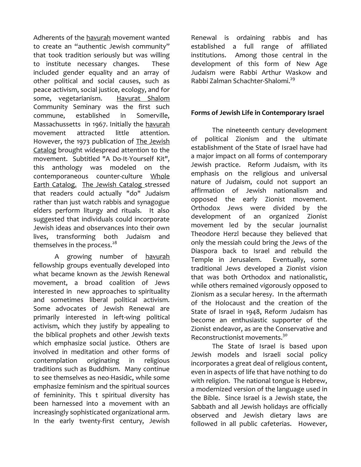Adherents of the havurah movement wanted to create an "authentic Jewish community" that took tradition seriously but was willing to institute necessary changes. These included gender equality and an array of other political and social causes, such as peace activism, social justice, ecology, and for some, vegetarianism. Havurat Shalom Community Seminary was the first such commune, established in Somerville, Massachussetts in 1967. Initially the havurah movement attracted little attention. However, the 1973 publication of The Jewish Catalog brought widespread attention to the movement. Subtitled "A Do-It-Yourself Kit", this anthology was modeled on the contemporaneous counter-culture Whole Earth Catalog. The Jewish Catalog stressed that readers could actually "do" Judaism rather than just watch rabbis and synagogue elders perform liturgy and rituals. It also suggested that individuals could incorporate Jewish ideas and observances into their own lives, transforming both Judaism and themselves in the process. $^{28}$ 

A growing number of havurah fellowship groups eventually developed into what became known as the Jewish Renewal movement, a broad coalition of Jews interested in new approaches to spirituality and sometimes liberal political activism. Some advocates of Jewish Renewal are primarily interested in left-wing political activism, which they justify by appealing to the biblical prophets and other Jewish texts which emphasize social justice. Others are involved in meditation and other forms of contemplation originating in religious traditions such as Buddhism. Many continue to see themselves as neo-Hasidic, while some emphasize feminism and the spiritual sources of femininity. This t spiritual diversity has been harnessed into a movement with an increasingly sophisticated organizational arm. In the early twenty-first century, Jewish Renewal is ordaining rabbis and has established a full range of affiliated institutions. Among those central in the development of this form of New Age Judaism were Rabbi Arthur Waskow and Rabbi Zalman Schachter-Shalomi.<sup>29</sup>

#### **Forms of Jewish Life in Contemporary Israel**

The nineteenth century development of political Zionism and the ultimate establishment of the State of Israel have had a major impact on all forms of contemporary Jewish practice. Reform Judaism, with its emphasis on the religious and universal nature of Judaism, could not support an affirmation of Jewish nationalism and opposed the early Zionist movement. Orthodox Jews were divided by the development of an organized Zionist movement led by the secular journalist Theodore Herzl because they believed that only the messiah could bring the Jews of the Diaspora back to Israel and rebuild the Temple in Jerusalem. Eventually, some traditional Jews developed a Zionist vision that was both Orthodox and nationalistic, while others remained vigorously opposed to Zionism as a secular heresy. In the aftermath of the Holocaust and the creation of the State of Israel in 1948, Reform Judaism has become an enthusiastic supporter of the Zionist endeavor, as are the Conservative and Reconstructionist movements.<sup>30</sup>

The State of Israel is based upon Jewish models and Israeli social policy incorporates a great deal of religious content, even in aspects of life that have nothing to do with religion. The national tongue is Hebrew, a modernized version of the language used in the Bible. Since Israel is a Jewish state, the Sabbath and all Jewish holidays are officially observed and Jewish dietary laws are followed in all public cafeterias. However,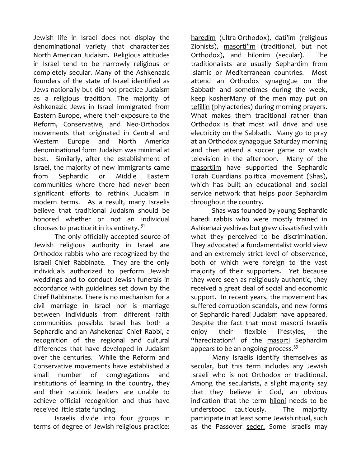Jewish life in Israel does not display the denominational variety that characterizes North American Judaism. Religious attitudes in Israel tend to be narrowly religious or completely secular. Many of the Ashkenazic founders of the state of Israel identified as Jews nationally but did not practice Judaism as a religious tradition. The majority of Ashkenazic Jews in Israel immigrated from Eastern Europe, where their exposure to the Reform, Conservative, and Neo-Orthodox movements that originated in Central and Western Europe and North America denominational form Judaism was minimal at best. Similarly, after the establishment of Israel, the majority of new immigrants came from Sephardic or Middle Eastern communities where there had never been significant efforts to rethink Judaism in modern terms. As a result, many Israelis believe that traditional Judaism should be honored whether or not an individual chooses to practice it in its entirety.  $31$ 

The only officially accepted source of Jewish religious authority in Israel are Orthodox rabbis who are recognized by the Israeli Chief Rabbinate. They are the only individuals authorized to perform Jewish weddings and to conduct Jewish funerals in accordance with guidelines set down by the Chief Rabbinate. There is no mechanism for a civil marriage in Israel nor is marriage between individuals from different faith communities possible. Israel has both a Sephardic and an Ashekenazi Chief Rabbi, a recognition of the regional and cultural differences that have developed in Judaism over the centuries. While the Reform and Conservative movements have established a small number of congregations and institutions of learning in the country, they and their rabbinic leaders are unable to achieve official recognition and thus have received little state funding.

Israelis divide into four groups in terms of degree of Jewish religious practice:

haredim (ultra-Orthodox), dati'im (religious Zionists), masorti'im (traditional, but not Orthodox), and hilonim (secular). The traditionalists are usually Sephardim from Islamic or Mediterranean countries. Most attend an Orthodox synagogue on the Sabbath and sometimes during the week, keep kosherMany of the men may put on tefillin (phylacteries) during morning prayers. What makes them traditional rather than Orthodox is that most will drive and use electricity on the Sabbath. Many go to pray at an Orthodox synagogue Saturday morning and then attend a soccer game or watch television in the afternoon. Many of the masortiim have supported the Sephardic Torah Guardians political movement (Shas), which has built an educational and social service network that helps poor Sephardim throughout the country.

Shas was founded by young Sephardic haredi rabbis who were mostly trained in Ashkenazi yeshivas but grew dissatisfied with what they perceived to be discrimination. They advocated a fundamentalist world view and an extremely strict level of observance, both of which were foreign to the vast majority of their supporters. Yet because they were seen as religiously authentic, they received a great deal of social and economic support. In recent years, the movement has suffered corruption scandals, and new forms of Sephardic haredi Judaism have appeared. Despite the fact that most masorti Israelis enjoy their flexible lifestyles, the "haredization" of the masorti Sephardim appears to be an ongoing process.<sup>33</sup>

Many Israelis identify themselves as secular, but this term includes any Jewish Israeli who is not Orthodox or traditional. Among the secularists, a slight majority say that they believe in God, an obvious indication that the term hiloni needs to be understood cautiously. The majority participate in at least some Jewish ritual, such as the Passover seder. Some Israelis mav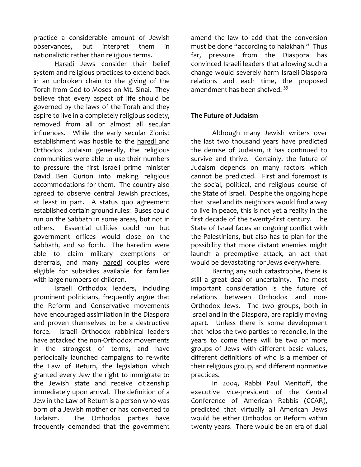practice a considerable amount of Jewish observances, but interpret them in nationalistic rather than religious terms.

Haredi Jews consider their belief system and religious practices to extend back in an unbroken chain to the giving of the Torah from God to Moses on Mt. Sinai. They believe that every aspect of life should be governed by the laws of the Torah and they aspire to live in a completely religious society, removed from all or almost all secular influences. While the early secular Zionist establishment was hostile to the haredi and Orthodox Judaism generally, the religious communities were able to use their numbers to pressure the first Israeli prime minister David Ben Gurion into making religious accommodations for them. The country also agreed to observe central Jewish practices, at least in part. A status quo agreement established certain ground rules: Buses could run on the Sabbath in some areas, but not in others. Essential utilities could run but government offices would close on the Sabbath, and so forth. The haredim were able to claim military exemptions or deferrals, and many haredi couples were eligible for subsidies available for families with large numbers of children.

Israeli Orthodox leaders, including prominent politicians, frequently argue that the Reform and Conservative movements have encouraged assimilation in the Diaspora and proven themselves to be a destructive force. Israeli Orthodox rabbinical leaders have attacked the non-Orthodox movements in the strongest of terms, and have periodically launched campaigns to re-write the Law of Return, the legislation which granted every Jew the right to immigrate to the Jewish state and receive citizenship immediately upon arrival. The definition of a Jew in the Law of Return is a person who was born of a Jewish mother or has converted to Judaism. The Orthodox parties have frequently demanded that the government

amend the law to add that the conversion must be done "according to halakhah." Thus far, pressure from the Diaspora has convinced Israeli leaders that allowing such a change would severely harm Israeli-Diaspora relations and each time, the proposed amendment has been shelved.  $33$ 

#### **The Future of Judaism**

Although many Jewish writers over the last two thousand years have predicted the demise of Judaism, it has continued to survive and thrive. Certainly, the future of Judaism depends on many factors which cannot be predicted. First and foremost is the social, political, and religious course of the State of Israel. Despite the ongoing hope that Israel and its neighbors would find a way to live in peace, this is not yet a reality in the first decade of the twenty-first century. The State of Israel faces an ongoing conflict with the Palestinians, but also has to plan for the possibility that more distant enemies might launch a preemptive attack, an act that would be devastating for Jews everywhere.

Barring any such catastrophe, there is still a great deal of uncertainty. The most important consideration is the future of relations between Orthodox and non-Orthodox Jews. The two groups, both in Israel and in the Diaspora, are rapidly moving apart. Unless there is some development that helps the two parties to reconcile, in the years to come there will be two or more groups of Jews with different basic values, different definitions of who is a member of their religious group, and different normative practices.

In 2004, Rabbi Paul Menitoff, the executive vice-president of the Central Conference of American Rabbis (CCAR), predicted that virtually all American Jews would be either Orthodox or Reform within twenty years. There would be an era of dual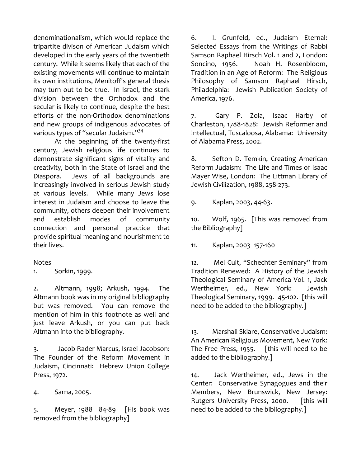denominationalism, which would replace the tripartite divison of American Judaism which developed in the early years of the twentieth century. While it seems likely that each of the existing movements will continue to maintain its own institutions, Menitoff's general thesis may turn out to be true. In Israel, the stark division between the Orthodox and the secular is likely to continue, despite the best efforts of the non-Orthodox denominations and new groups of indigenous advocates of various types of "secular Judaism."<sup>34</sup>

At the beginning of the twenty-first century, Jewish religious life continues to demonstrate significant signs of vitality and creativity, both in the State of Israel and the Diaspora. Jews of all backgrounds are increasingly involved in serious Jewish study at various levels. While many Jews lose interest in Judaism and choose to leave the community, others deepen their involvement and establish modes of community connection and personal practice that provide spiritual meaning and nourishment to their lives.

Notes

1. Sorkin, 1999.

2. Altmann, 1998; Arkush, 1994. The Altmann book was in my original bibliography but was removed. You can remove the mention of him in this footnote as well and just leave Arkush, or you can put back Altmann into the bibliography.

3. Jacob Rader Marcus, Israel Jacobson: The Founder of the Reform Movement in Judaism, Cincinnati: Hebrew Union College Press, 1972.

4. Sarna, 2005.

5. Meyer, 1988 84-89 [His book was removed from the bibliography]

6. I. Grunfeld, ed., Judaism Eternal: Selected Essays from the Writings of Rabbi Samson Raphael Hirsch Vol. 1 and 2, London: Soncino, 1956. Noah H. Rosenbloom, Tradition in an Age of Reform: The Religious Philosophy of Samson Raphael Hirsch, Philadelphia: Jewish Publication Society of America, 1976.

7. Gary P. Zola, Isaac Harby of Charleston, 1788-1828: Jewish Reformer and Intellectual, Tuscaloosa, Alabama: University of Alabama Press, 2002.

8. Sefton D. Temkin, Creating American Reform Judaism: The Life and Times of Isaac Mayer Wise, London: The Littman Library of Jewish Civilization, 1988, 258-273.

9. Kaplan, 2003, 44-63.

10. Wolf, 1965. [This was removed from the Bibliography]

11. Kaplan, 2003 157-160

12. Mel Cult, "Schechter Seminary" from Tradition Renewed: A History of the Jewish Theological Seminary of America Vol. 1, Jack Wertheimer, ed., New York: Jewish Theological Seminary, 1999. 45-102. [this will need to be added to the bibliography.]

13. Marshall Sklare, Conservative Judaism: An American Religious Movement, New York: The Free Press, 1955. [this will need to be added to the bibliography.]

14. Jack Wertheimer, ed., Jews in the Center: Conservative Synagogues and their Members, New Brunswick, New Jersey: Rutgers University Press, 2000. [this will need to be added to the bibliography.]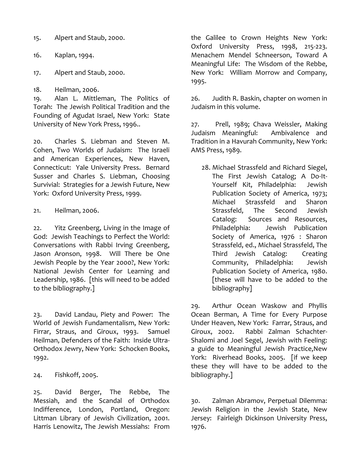15. Alpert and Staub, 2000.

16. Kaplan, 1994.

17. Alpert and Staub, 2000.

18. Heilman, 2006.

19. Alan L. Mittleman, The Politics of Torah: The Jewish Political Tradition and the Founding of Agudat Israel, New York: State University of New York Press, 1996..

20. Charles S. Liebman and Steven M. Cohen, Two Worlds of Judaism: The Israeli and American Experiences, New Haven, Connecticut: Yale University Press. Bernard Susser and Charles S. Liebman, Choosing Survivial: Strategies for a Jewish Future, New York: Oxford University Press, 1999.

21. Heilman, 2006.

22. Yitz Greenberg, Living in the Image of God: Jewish Teachings to Perfect the World: Conversations with Rabbi Irving Greenberg, Jason Aronson, 1998. Will There be One Jewish People by the Year 2000?, New York: National Jewish Center for Learning and Leadership, 1986. [this will need to be added to the bibliography.]

23. David Landau, Piety and Power: The World of Jewish Fundamentalism, New York: Firrar, Straus, and Giroux, 1993. Samuel Heilman, Defenders of the Faith: Inside Ultra-Orthodox Jewry, New York: Schocken Books, 1992.

24. Fishkoff, 2005.

25. David Berger, The Rebbe, The Messiah, and the Scandal of Orthodox Indifference, London, Portland, Oregon: Littman Library of Jewish Civilization, 2001. Harris Lenowitz, The Jewish Messiahs: From

the Galilee to Crown Heights New York: Oxford University Press, 1998, 215-223. Menachem Mendel Schneerson, Toward A Meaningful Life: The Wisdom of the Rebbe, New York: William Morrow and Company, 1995.

26. Judith R. Baskin, chapter on women in Judaism in this volume.

27. Prell, 1989; Chava Weissler, Making Judaism Meaningful: Ambivalence and Tradition in a Havurah Community, New York: AMS Press, 1989.

28. Michael Strassfeld and Richard Siegel, The First Jewish Catalog; A Do-It-Yourself Kit, Philadelphia: Jewish Publication Society of America, 1973; Michael Strassfeld and Sharon Strassfeld, The Second Jewish Catalog: Sources and Resources, Philadelphia: Jewish Publication Society of America, 1976 : Sharon Strassfeld, ed., Michael Strassfeld, The Third Jewish Catalog: Creating Community, Philadelphia: Jewish Publication Society of America, 1980. [these will have to be added to the bibliography]

29. Arthur Ocean Waskow and Phyllis Ocean Berman, A Time for Every Purpose Under Heaven, New York: Farrar, Straus, and Giroux, 2002. Rabbi Zalman Schachter-Shalomi and Joel Segel, Jewish with Feeling: a guide to Meaningful Jewish Practice,New York: Riverhead Books, 2005. [if we keep these they will have to be added to the bibliography.]

30. Zalman Abramov, Perpetual Dilemma: Jewish Religion in the Jewish State, New Jersey: Fairleigh Dickinson University Press, 1976.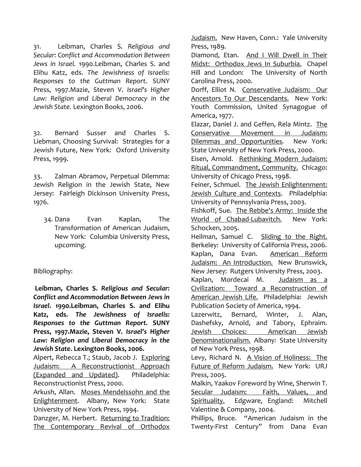31. Leibman, Charles S. *Religious and Secular: Conflict and Accommodation Between Jews in Israel.* 1990.Leibman, Charles S. and Elihu Katz, eds. *The Jewishness of Israelis: Responses to the Guttman Report.* SUNY Press, 1997.Mazie, Steven V. *Israel's Higher Law: Religion and Liberal Democracy in the Jewish State.* Lexington Books, 2006.

32. Bernard Susser and Charles S. Liebman, Choosing Survival: Strategies for a Jewish Future, New York: Oxford University Press, 1999.

33. Zalman Abramov, Perpetual Dilemma: Jewish Religion in the Jewish State, New Jersey: Fairleigh Dickinson University Press, 1976.

34. Dana Evan Kaplan, The Transformation of American Judaism, New York: Columbia University Press, upcoming.

## Bibliography:

**Leibman, Charles S.** *Religious and Secular: Conflict and Accommodation Between Jews in Israel.* **1990.Leibman, Charles S. and Elihu Katz, eds.** *The Jewishness of Israelis: Responses to the Guttman Report.* **SUNY Press, 1997.Mazie, Steven V.** *Israel's Higher Law: Religion and Liberal Democracy in the Jewish State.* **Lexington Books, 2006.**

Alpert, Rebecca T.; Staub, Jacob J. Exploring Judaism: A Reconstructionist Approach (Expanded and Updated). Philadelphia: Reconstructionist Press, 2000.

Arkush, Allan. Moses Mendelssohn and the Enlightenment. Albany, New York: State University of New York Press, 1994.

Danzger, M. Herbert. Returning to Tradition: The Contemporary Revival of Orthodox

Judaism. New Haven, Conn.: Yale University Press, 1989.

Diamond, Etan. And I Will Dwell in Their Midst: Orthodox Jews In Suburbia. Chapel Hill and London: The University of North Carolina Press, 2000.

Dorff, Elliot N. Conservative Judaism: Our Ancestors To Our Descendants. New York: Youth Commission, United Synagogue of America, 1977.

Elazar, Daniel J. and Geffen, Rela Mintz. The Conservative Movement in Judaism: Dilemmas and Opportunities*.* New York: State University of New York Press, 2000.

Eisen, Arnold. Rethinking Modern Judaism: Ritual, Commandment, Community.Chicago: University of Chicago Press, 1998.

Feiner, Schmuel. The Jewish Enlightenment: Jewish Culture and Contexts. Philadelphia: University of Pennsylvania Press, 2003.

Fishkoff, Sue. The Rebbe's Army: Inside the World of Chabad-Lubavitch. New York: Schocken, 2005.

Heilman, Samuel C. Sliding to the Right. Berkeley: University of California Press, 2006. Kaplan, Dana Evan. American Reform Judaism: An Introduction. New Brunswick, New Jersey: Rutgers University Press, 2003.

Kaplan, Mordecai M. Judaism as a Civilization: Toward a Reconstruction of American Jewish Life. Philadelphia: Jewish Publication Society of America, 1994.

Lazerwitz, Bernard, Winter, J. Alan, Dashefsky, Arnold, and Tabory, Ephraim. Jewish Choices: American Jewish Denominationalism.Albany: State University of New York Press, 1998.

Levy, Richard N. A Vision of Holiness: The Future of Reform Judaism. New York: URJ Press, 2005.

Malkin, Yaakov Foreword by Wine, Sherwin T. Secular Judaism: Faith, Values, and Spirituality. Edgware, England: Mitchell Valentine & Company, 2004.

Phillips, Bruce. "American Judaism in the Twenty-First Century" from Dana Evan